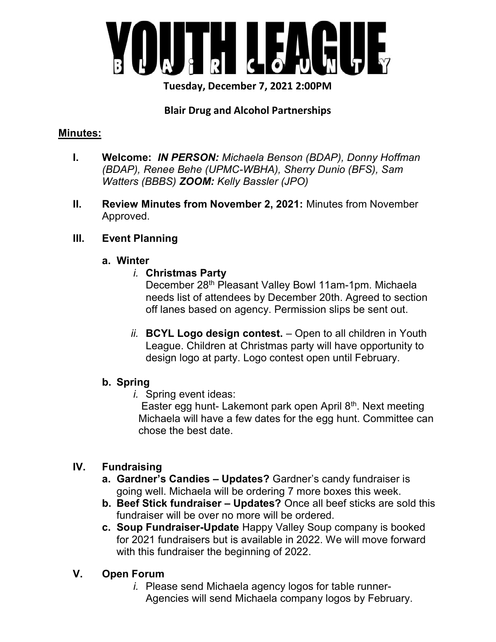

Tuesday, December 7, 2021 2:00PM

### Blair Drug and Alcohol Partnerships

#### Minutes:

- I. Welcome: IN PERSON: Michaela Benson (BDAP), Donny Hoffman (BDAP), Renee Behe (UPMC-WBHA), Sherry Dunio (BFS), Sam Watters (BBBS) ZOOM: Kelly Bassler (JPO)
- II. Review Minutes from November 2, 2021: Minutes from November Approved.

#### III. Event Planning

#### a. Winter

### i. Christmas Party

December 28<sup>th</sup> Pleasant Valley Bowl 11am-1pm. Michaela needs list of attendees by December 20th. Agreed to section off lanes based on agency. Permission slips be sent out.

ii. **BCYL Logo design contest.**  $-$  Open to all children in Youth League. Children at Christmas party will have opportunity to design logo at party. Logo contest open until February.

### b. Spring

i. Spring event ideas:

Easter egg hunt- Lakemont park open April 8<sup>th</sup>. Next meeting Michaela will have a few dates for the egg hunt. Committee can chose the best date.

# IV. Fundraising

- a. Gardner's Candies Updates? Gardner's candy fundraiser is going well. Michaela will be ordering 7 more boxes this week.
- b. Beef Stick fundraiser Updates? Once all beef sticks are sold this fundraiser will be over no more will be ordered.
- c. Soup Fundraiser-Update Happy Valley Soup company is booked for 2021 fundraisers but is available in 2022. We will move forward with this fundraiser the beginning of 2022.

# V. Open Forum

i. Please send Michaela agency logos for table runner-Agencies will send Michaela company logos by February.